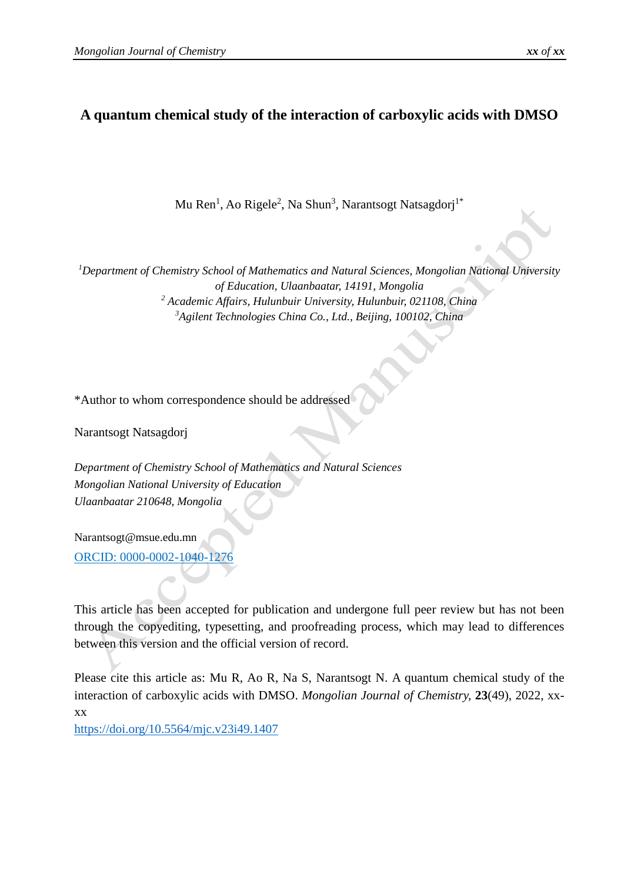# **A quantum chemical study of the interaction of carboxylic acids with DMSO**

Mu Ren<sup>1</sup>, Ao Rigele<sup>2</sup>, Na Shun<sup>3</sup>, Narantsogt Natsagdorj<sup>1\*</sup>

*Department of Chemistry School of Mathematics and Natural Sciences, Mongolian National University of Education, Ulaanbaatar, 14191, Mongolia Academic Affairs, Hulunbuir University, Hulunbuir, 021108, China Agilent Technologies China Co., Ltd., Beijing, 100102, China*

\*Author to whom correspondence should be addressed

Narantsogt Natsagdorj

*Department of Chemistry School of Mathematics and Natural Sciences Mongolian National University of Education Ulaanbaatar 210648, Mongolia*

[Narantsogt@msue.edu.mn](mailto:Narantsogt@msue.edu.mn) ORCID: 0000-0002-1040-1276

This article has been accepted for publication and undergone full peer review but has not been through the copyediting, typesetting, and proofreading process, which may lead to differences between this version and the official version of record.

Please cite this article as: Mu R, Ao R, Na S, Narantsogt N. A quantum chemical study of the interaction of carboxylic acids with DMSO. *Mongolian Journal of Chemistry,* **23**(49), 2022, xxxx

<https://doi.org/10.5564/mjc.v23i49.1407>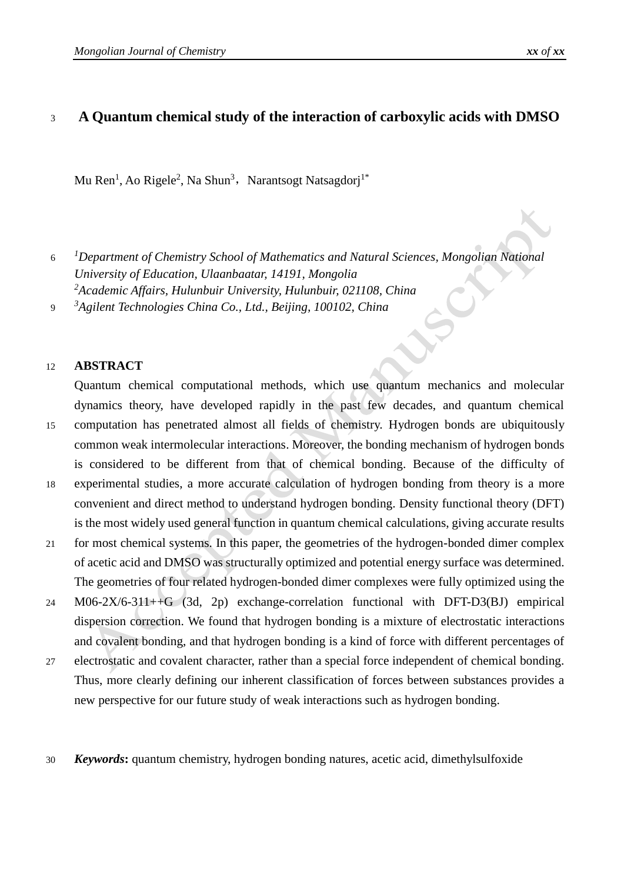# <sup>3</sup> **A Quantum chemical study of the interaction of carboxylic acids with DMSO**

Mu Ren<sup>1</sup>, Ao Rigele<sup>2</sup>, Na Shun<sup>3</sup>, Narantsogt Natsagdorj<sup>1\*</sup>

 6 *Department of Chemistry School of Mathematics and Natural Sciences, Mongolian National University of Education, Ulaanbaatar, 14191, Mongolia Academic Affairs, Hulunbuir University, Hulunbuir, 021108, China*  9 *Agilent Technologies China Co., Ltd., Beijing, 100102, China*

### 12 **ABSTRACT**

Quantum chemical computational methods, which use quantum mechanics and molecular dynamics theory, have developed rapidly in the past few decades, and quantum chemical 15 computation has penetrated almost all fields of chemistry. Hydrogen bonds are ubiquitously common weak intermolecular interactions. Moreover, the bonding mechanism of hydrogen bonds is considered to be different from that of chemical bonding. Because of the difficulty of

- 18 experimental studies, a more accurate calculation of hydrogen bonding from theory is a more convenient and direct method to understand hydrogen bonding. Density functional theory (DFT) is the most widely used general function in quantum chemical calculations, giving accurate results
- 21 for most chemical systems. In this paper, the geometries of the hydrogen-bonded dimer complex of acetic acid and DMSO was structurally optimized and potential energy surface was determined. The geometries of four related hydrogen-bonded dimer complexes were fully optimized using the
- 24 M06-2X/6-311++G (3d, 2p) exchange-correlation functional with DFT-D3(BJ) empirical dispersion correction. We found that hydrogen bonding is a mixture of electrostatic interactions and covalent bonding, and that hydrogen bonding is a kind of force with different percentages of
- 27 electrostatic and covalent character, rather than a special force independent of chemical bonding. Thus, more clearly defining our inherent classification of forces between substances provides a new perspective for our future study of weak interactions such as hydrogen bonding.
- 30 *Keywords***:** quantum chemistry, hydrogen bonding natures, acetic acid, dimethylsulfoxide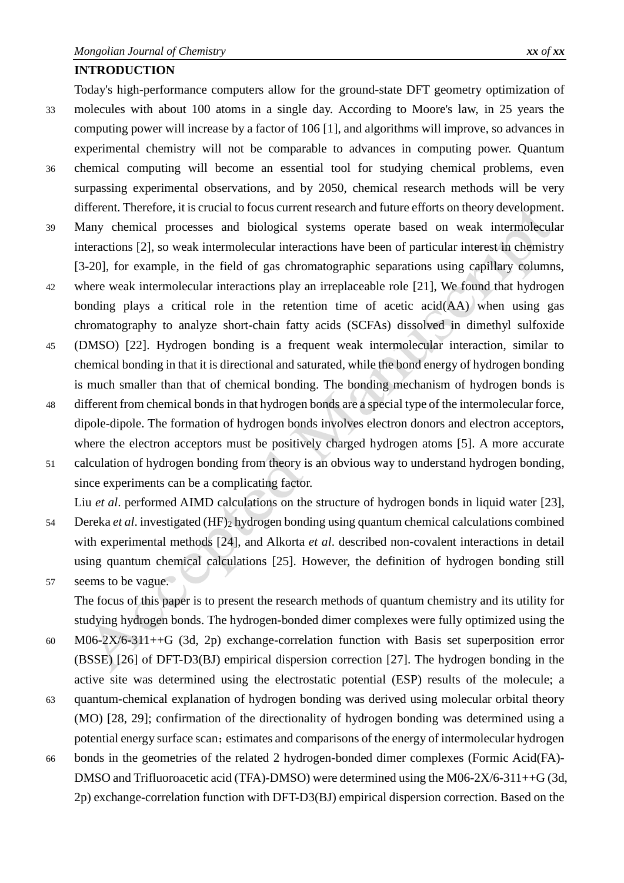#### **INTRODUCTION**

Today's high-performance computers allow for the ground-state DFT geometry optimization of 33 molecules with about 100 atoms in a single day. According to Moore's law, in 25 years the computing power will increase by a factor of 106 [1], and algorithms will improve, so advances in experimental chemistry will not be comparable to advances in computing power. Quantum 36 chemical computing will become an essential tool for studying chemical problems, even surpassing experimental observations, and by 2050, chemical research methods will be very different. Therefore, it is crucial to focus current research and future efforts on theory development. 39 Many chemical processes and biological systems operate based on weak intermolecular interactions [2], so weak intermolecular interactions have been of particular interest in chemistry [3-20], for example, in the field of gas chromatographic separations using capillary columns,

- 42 where weak intermolecular interactions play an irreplaceable role [21], We found that hydrogen bonding plays a critical role in the retention time of acetic acid(AA) when using gas chromatography to analyze short-chain fatty acids (SCFAs) dissolved in dimethyl sulfoxide
- 45 (DMSO) [22]. Hydrogen bonding is a frequent weak intermolecular interaction, similar to chemical bonding in that it is directional and saturated, while the bond energy of hydrogen bonding is much smaller than that of chemical bonding. The bonding mechanism of hydrogen bonds is
- 48 different from chemical bonds in that hydrogen bonds are a special type of the intermolecular force, dipole-dipole. The formation of hydrogen bonds involves electron donors and electron acceptors, where the electron acceptors must be positively charged hydrogen atoms [5]. A more accurate
- 51 calculation of hydrogen bonding from theory is an obvious way to understand hydrogen bonding, since experiments can be a complicating factor.

Liu *et al*. performed AIMD calculations on the structure of hydrogen bonds in liquid water [23],

- 54 Dereka *et al*. investigated (HF)<sup>2</sup> hydrogen bonding using quantum chemical calculations combined with experimental methods [24], and Alkorta *et al*. described non-covalent interactions in detail using quantum chemical calculations [25]. However, the definition of hydrogen bonding still 57 seems to be vague.
	- The focus of this paper is to present the research methods of quantum chemistry and its utility for studying hydrogen bonds. The hydrogen-bonded dimer complexes were fully optimized using the
- 60 M06-2X/6-311++G (3d, 2p) exchange-correlation function with Basis set superposition error (BSSE) [26] of DFT-D3(BJ) empirical dispersion correction [27]. The hydrogen bonding in the active site was determined using the electrostatic potential (ESP) results of the molecule; a
- 63 quantum-chemical explanation of hydrogen bonding was derived using molecular orbital theory (MO) [28, 29]; confirmation of the directionality of hydrogen bonding was determined using a potential energy surface scan; estimates and comparisons of the energy of intermolecular hydrogen
- 66 bonds in the geometries of the related 2 hydrogen-bonded dimer complexes (Formic Acid(FA)- DMSO and Trifluoroacetic acid (TFA)-DMSO) were determined using the M06-2X/6-311++G (3d, 2p) exchange-correlation function with DFT-D3(BJ) empirical dispersion correction. Based on the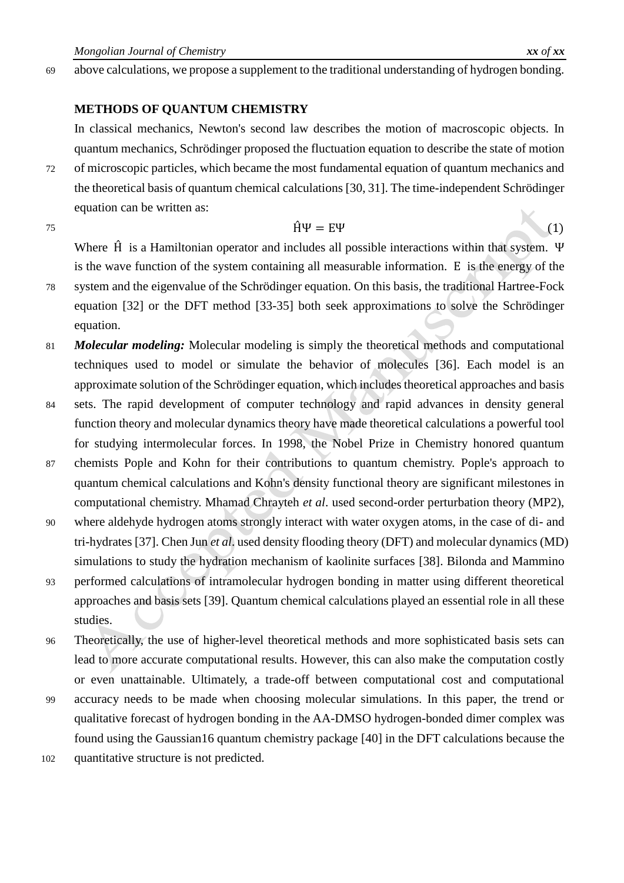69 above calculations, we propose a supplement to the traditional understanding of hydrogen bonding.

### **METHODS OF QUANTUM CHEMISTRY**

In classical mechanics, Newton's second law describes the motion of macroscopic objects. In quantum mechanics, Schrödinger proposed the fluctuation equation to describe the state of motion

- 72 of microscopic particles, which became the most fundamental equation of quantum mechanics and the theoretical basis of quantum chemical calculations [30, 31]. The time-independent Schrödinger equation can be written as:
- 

## $75 \quad \hat{H}\Psi = E\Psi$  (1)

Where  $\hat{H}$  is a Hamiltonian operator and includes all possible interactions within that system. Ψ is the wave function of the system containing all measurable information. E is the energy of the

- 78 system and the eigenvalue of the Schrödinger equation. On this basis, the traditional Hartree-Fock equation [32] or the DFT method [33-35] both seek approximations to solve the Schrödinger equation.
- 81 *Molecular modeling:* Molecular modeling is simply the theoretical methods and computational techniques used to model or simulate the behavior of molecules [36]. Each model is an approximate solution of the Schrödinger equation, which includes theoretical approaches and basis
- 84 sets. The rapid development of computer technology and rapid advances in density general function theory and molecular dynamics theory have made theoretical calculations a powerful tool for studying intermolecular forces. In 1998, the Nobel Prize in Chemistry honored quantum
- 87 chemists Pople and Kohn for their contributions to quantum chemistry. Pople's approach to quantum chemical calculations and Kohn's density functional theory are significant milestones in computational chemistry. Mhamad Chrayteh *et al*. used second-order perturbation theory (MP2),
- 90 where aldehyde hydrogen atoms strongly interact with water oxygen atoms, in the case of di- and tri-hydrates [37]. Chen Jun *et al*. used density flooding theory (DFT) and molecular dynamics (MD) simulations to study the hydration mechanism of kaolinite surfaces [38]. Bilonda and Mammino
- 93 performed calculations of intramolecular hydrogen bonding in matter using different theoretical approaches and basis sets [39]. Quantum chemical calculations played an essential role in all these studies.
- 96 Theoretically, the use of higher-level theoretical methods and more sophisticated basis sets can lead to more accurate computational results. However, this can also make the computation costly or even unattainable. Ultimately, a trade-off between computational cost and computational
- 99 accuracy needs to be made when choosing molecular simulations. In this paper, the trend or qualitative forecast of hydrogen bonding in the AA-DMSO hydrogen-bonded dimer complex was found using the Gaussian16 quantum chemistry package [40] in the DFT calculations because the
- 102 quantitative structure is not predicted.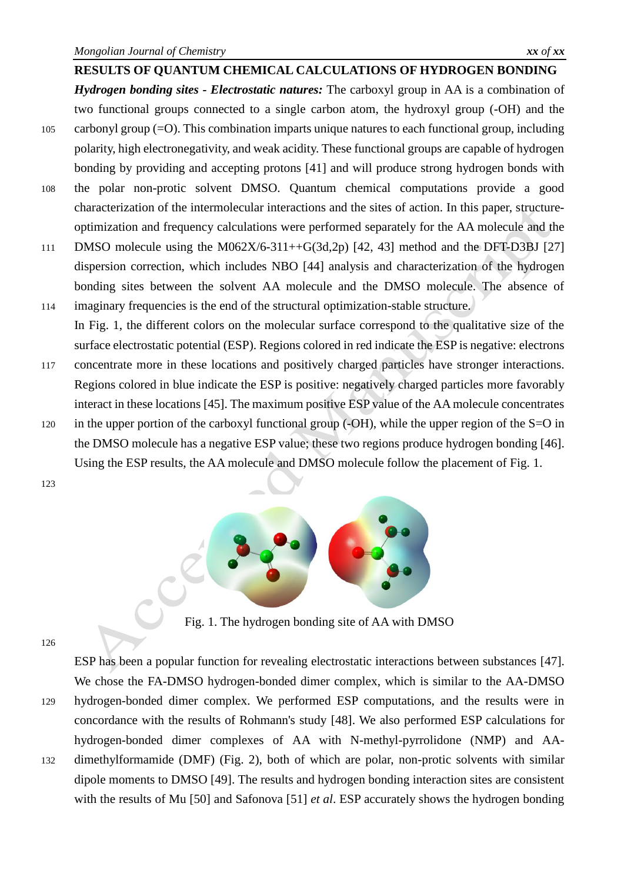<span id="page-4-1"></span>**RESULTS OF QUANTUM CHEMICAL CALCULATIONS OF HYDROGEN BONDING** *Hydrogen bonding sites - Electrostatic natures:* The carboxyl group in AA is a combination of two functional groups connected to a single carbon atom, the hydroxyl group (-OH) and the 105 carbonyl group (=O). This combination imparts unique natures to each functional group, including polarity, high electronegativity, and weak acidity. These functional groups are capable of hydrogen bonding by providing and accepting protons [41] and will produce strong hydrogen bonds with 108 the polar non-protic solvent DMSO. Quantum chemical computations provide a good characterization of the intermolecular interactions and the sites of action. In this paper, structureoptimization and frequency calculations were performed separately for the AA molecule and the

- 111 DMSO molecule using the M062X/6-311++G(3d,2p) [42, 43] method and the DFT-D3BJ [27] dispersion correction, which includes NBO [44] analysis and characterization of the hydrogen bonding sites between the solvent AA molecule and the DMSO molecule. The absence of
- 114 imaginary frequencies is the end of the structural optimization-stable structure. In [Fig.](#page-4-0) 1, the different colors on the molecular surface correspond to the qualitative size of the surface electrostatic potential (ESP). Regions colored in red indicate the ESP is negative: electrons
- 117 concentrate more in these locations and positively charged particles have stronger interactions. Regions colored in blue indicate the ESP is positive: negatively charged particles more favorably interact in these locations [45]. The maximum positive ESP value of the AAmolecule concentrates
- 120 in the upper portion of the carboxyl functional group (-OH), while the upper region of the S=O in the DMSO molecule has a negative ESP value; these two regions produce hydrogen bonding [46]. Using the ESP results, the AA molecule and DMSO molecule follow the placement of [Fig.](#page-4-0) 1.
- 123



Fig. 1. The hydrogen bonding site of AA with DMSO

<span id="page-4-0"></span>126

ESP has been a popular function for revealing electrostatic interactions between substances [47]. We chose the FA-DMSO hydrogen-bonded dimer complex, which is similar to the AA-DMSO 129 hydrogen-bonded dimer complex. We performed ESP computations, and the results were in concordance with the results of Rohmann's study [48]. We also performed ESP calculations for hydrogen-bonded dimer complexes of AA with N-methyl-pyrrolidone (NMP) and AA-132 dimethylformamide (DMF) (Fig. 2), both of which are polar, non-protic solvents with similar dipole moments to DMSO [49]. The results and hydrogen bonding interaction sites are consistent with the results of Mu [50] and Safonova [51] *et al*. ESP accurately shows the hydrogen bonding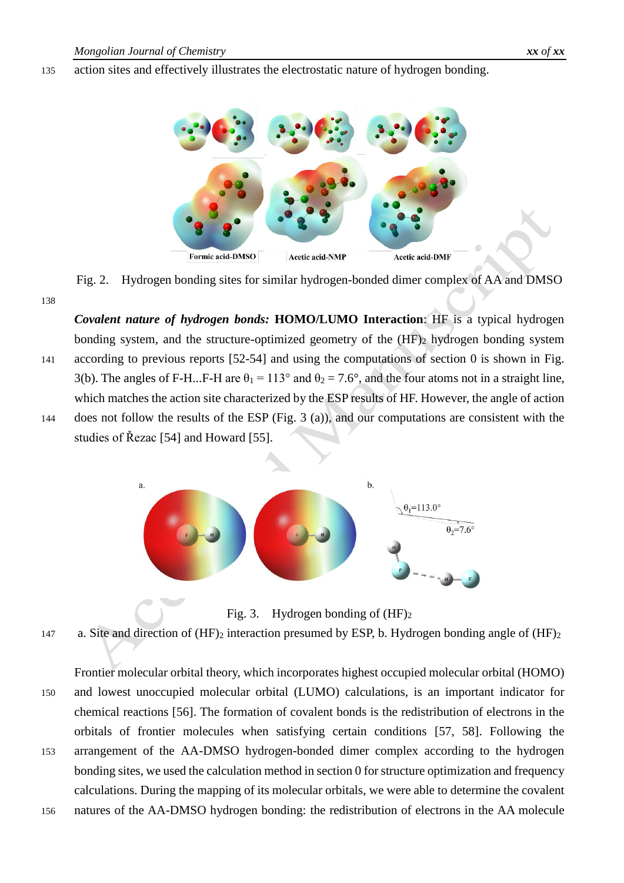### 135 action sites and effectively illustrates the electrostatic nature of hydrogen bonding.



Fig. 2. Hydrogen bonding sites for similar hydrogen-bonded dimer complex of AA and DMSO

138

*Covalent nature of hydrogen bonds:* **HOMO/LUMO Interaction**: HF is a typical hydrogen bonding system, and the structure-optimized geometry of the  $(HF)_2$  hydrogen bonding system 141 according to previous reports [52-54] and using the computations of section [0](#page-4-1) is shown in [Fig.](#page-5-0) [3\(](#page-5-0)b). The angles of F-H...F-H are  $\theta_1 = 113^\circ$  and  $\theta_2 = 7.6^\circ$ , and the four atoms not in a straight line, which matches the action site characterized by the ESP results of HF. However, the angle of action 144 does not follow the results of the ESP [\(Fig.](#page-5-0) 3 (a)), and our computations are consistent with the studies of Řezac [54] and Howard [55].





Fig. 3. Hydrogen bonding of  $(HF)_2$ 

<span id="page-5-0"></span>147 a. Site and direction of  $(HF)_2$  interaction presumed by ESP, b. Hydrogen bonding angle of  $(HF)_2$ 

Frontier molecular orbital theory, which incorporates highest occupied molecular orbital (HOMO) 150 and lowest unoccupied molecular orbital (LUMO) calculations, is an important indicator for chemical reactions [56]. The formation of covalent bonds is the redistribution of electrons in the orbitals of frontier molecules when satisfying certain conditions [57, 58]. Following the 153 arrangement of the AA-DMSO hydrogen-bonded dimer complex according to the hydrogen bonding sites, we used the calculation method in sectio[n 0](#page-4-1) for structure optimization and frequency calculations. During the mapping of its molecular orbitals, we were able to determine the covalent

156 natures of the AA-DMSO hydrogen bonding: the redistribution of electrons in the AA molecule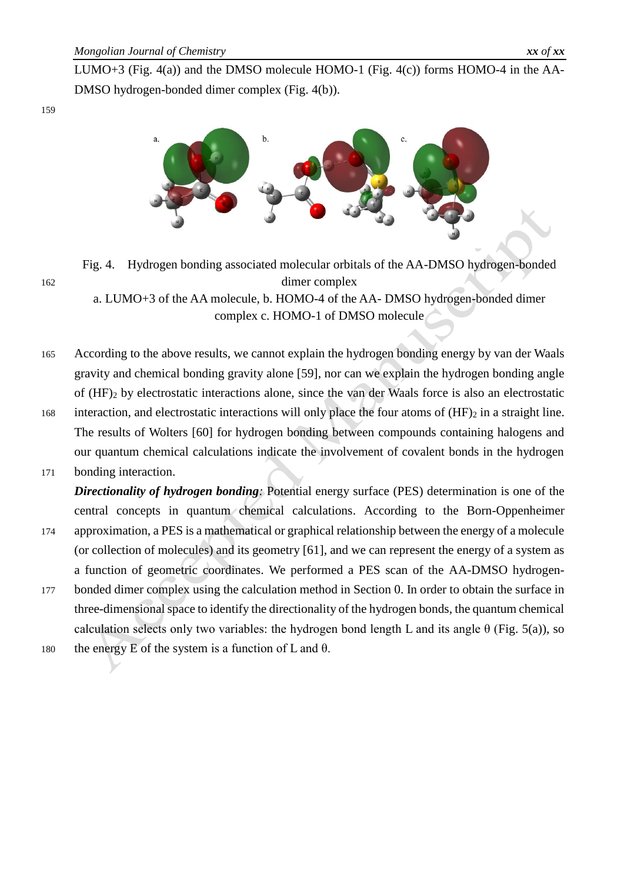

<span id="page-6-0"></span>Fig. 4. Hydrogen bonding associated molecular orbitals of the AA-DMSO hydrogen-bonded 162 dimer complex

a. LUMO+3 of the AA molecule, b. HOMO-4 of the AA- DMSO hydrogen-bonded dimer complex c. HOMO-1 of DMSO molecule

- 165 According to the above results, we cannot explain the hydrogen bonding energy by van der Waals gravity and chemical bonding gravity alone [59], nor can we explain the hydrogen bonding angle of (HF)<sup>2</sup> by electrostatic interactions alone, since the van der Waals force is also an electrostatic 168 interaction, and electrostatic interactions will only place the four atoms of  $(HF)_2$  in a straight line.
- The results of Wolters [60] for hydrogen bonding between compounds containing halogens and our quantum chemical calculations indicate the involvement of covalent bonds in the hydrogen
- 171 bonding interaction.

*Directionality of hydrogen bonding*: Potential energy surface (PES) determination is one of the central concepts in quantum chemical calculations. According to the Born-Oppenheimer

- 174 approximation, a PES is a mathematical or graphical relationship between the energy of a molecule (or collection of molecules) and its geometry [61], and we can represent the energy of a system as a function of geometric coordinates. We performed a PES scan of the AA-DMSO hydrogen-
- 177 bonded dimer complex using the calculation method in Section [0.](#page-4-1) In order to obtain the surface in three-dimensional space to identify the directionality of the hydrogen bonds, the quantum chemical calculation selects only two variables: the hydrogen bond length L and its angle  $\theta$  [\(Fig.](#page-7-0) 5(a)), so
- 180 the energy E of the system is a function of L and  $\theta$ .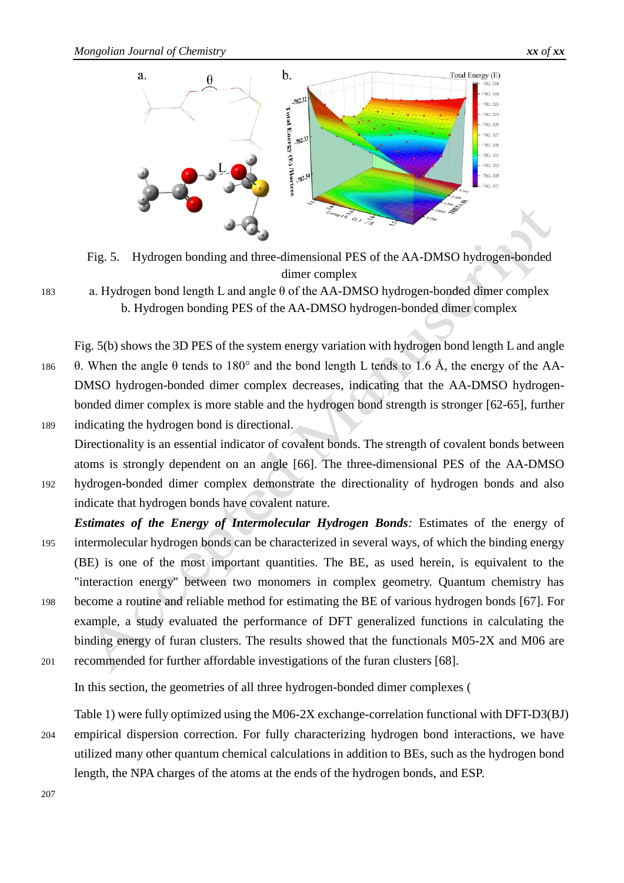

<span id="page-7-0"></span>Fig. 5. Hydrogen bonding and three-dimensional PES of the AA-DMSO hydrogen-bonded dimer complex

183 a. Hydrogen bond length L and angle θ of the AA-DMSO hydrogen-bonded dimer complex b. Hydrogen bonding PES of the AA-DMSO hydrogen-bonded dimer complex

[Fig.](#page-7-0) 5(b) shows the 3D PES of the system energy variation with hydrogen bond length L and angle 186 θ. When the angle θ tends to 180° and the bond length L tends to 1.6 Å, the energy of the AA-DMSO hydrogen-bonded dimer complex decreases, indicating that the AA-DMSO hydrogenbonded dimer complex is more stable and the hydrogen bond strength is stronger [62-65], further 189 indicating the hydrogen bond is directional.

- Directionality is an essential indicator of covalent bonds. The strength of covalent bonds between atoms is strongly dependent on an angle [66]. The three-dimensional PES of the AA-DMSO 192 hydrogen-bonded dimer complex demonstrate the directionality of hydrogen bonds and also indicate that hydrogen bonds have covalent nature.
- **Estimates of the Energy of Intermolecular Hydrogen Bonds:** Estimates of the energy of 195 intermolecular hydrogen bonds can be characterized in several ways, of which the binding energy (BE) is one of the most important quantities. The BE, as used herein, is equivalent to the "interaction energy" between two monomers in complex geometry. Quantum chemistry has 198 become a routine and reliable method for estimating the BE of various hydrogen bonds [67]. For
- example, a study evaluated the performance of DFT generalized functions in calculating the binding energy of furan clusters. The results showed that the functionals M05-2X and M06 are 201 recommended for further affordable investigations of the furan clusters [68].

In this section, the geometries of all three hydrogen-bonded dimer complexes [\(](#page-8-0)

[Table](#page-8-0) 1) were fully optimized using the M06-2X exchange-correlation functional with DFT-D3(BJ) 204 empirical dispersion correction. For fully characterizing hydrogen bond interactions, we have utilized many other quantum chemical calculations in addition to BEs, such as the hydrogen bond length, the NPA charges of the atoms at the ends of the hydrogen bonds, and ESP.

207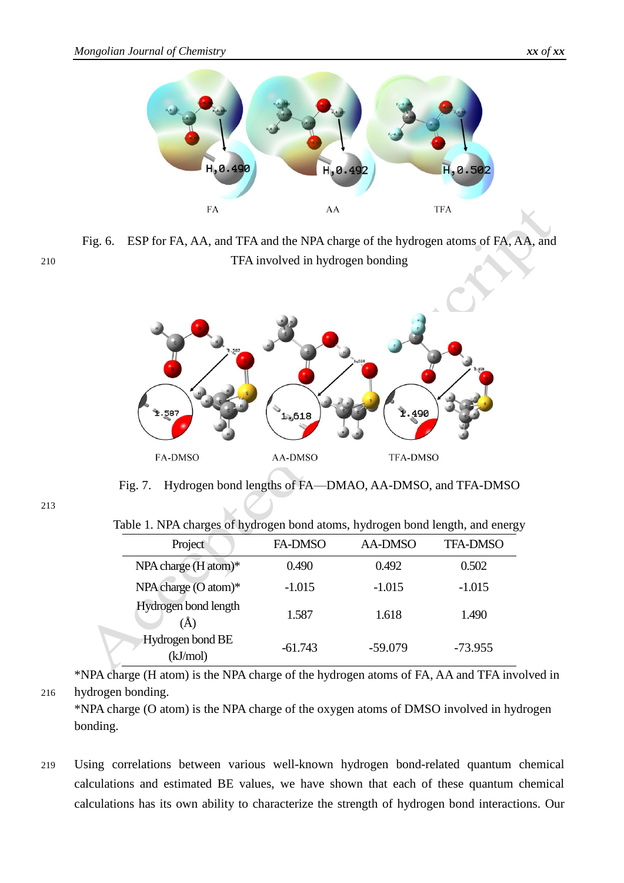

Fig. 6. ESP for FA, AA, and TFA and the NPA charge of the hydrogen atoms of FA, AA, and 210 TFA involved in hydrogen bonding



Fig. 7. Hydrogen bond lengths of FA—DMAO, AA-DMSO, and TFA-DMSO

<span id="page-8-0"></span>213

Table 1. NPA charges of hydrogen bond atoms, hydrogen bond length, and energy

| Project                      | <b>FA-DMSO</b> | <b>AA-DMSO</b> | <b>TFA-DMSO</b> |
|------------------------------|----------------|----------------|-----------------|
| NPA charge (H atom)*         | 0.490          | 0.492          | 0.502           |
| NPA charge (O atom)*         | $-1.015$       | $-1.015$       | $-1.015$        |
| Hydrogen bond length<br>(Å)  | 1.587          | 1.618          | 1.490           |
| Hydrogen bond BE<br>(kJ/mol) | $-61.743$      | $-59.079$      | $-73.955$       |

\*NPA charge (H atom) is the NPA charge of the hydrogen atoms of FA, AA and TFA involved in 216 hydrogen bonding.

\*NPA charge (O atom) is the NPA charge of the oxygen atoms of DMSO involved in hydrogen bonding.

219 Using correlations between various well-known hydrogen bond-related quantum chemical calculations and estimated BE values, we have shown that each of these quantum chemical calculations has its own ability to characterize the strength of hydrogen bond interactions. Our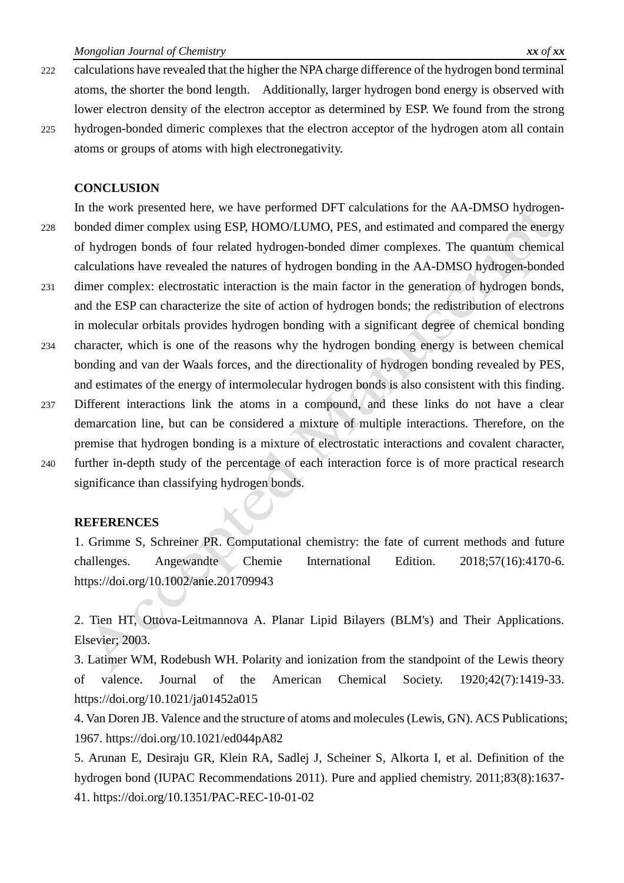- 222 calculations have revealed that the higher the NPA charge difference of the hydrogen bond terminal atoms, the shorter the bond length. Additionally, larger hydrogen bond energy is observed with lower electron density of the electron acceptor as determined by ESP. We found from the strong
- 225 hydrogen-bonded dimeric complexes that the electron acceptor of the hydrogen atom all contain atoms or groups of atoms with high electronegativity.

#### **CONCLUSION**

In the work presented here, we have performed DFT calculations for the AA-DMSO hydrogen-228 bonded dimer complex using ESP, HOMO/LUMO, PES, and estimated and compared the energy of hydrogen bonds of four related hydrogen-bonded dimer complexes. The quantum chemical calculations have revealed the natures of hydrogen bonding in the AA-DMSO hydrogen-bonded

- 231 dimer complex: electrostatic interaction is the main factor in the generation of hydrogen bonds, and the ESP can characterize the site of action of hydrogen bonds; the redistribution of electrons in molecular orbitals provides hydrogen bonding with a significant degree of chemical bonding
- 234 character, which is one of the reasons why the hydrogen bonding energy is between chemical bonding and van der Waals forces, and the directionality of hydrogen bonding revealed by PES, and estimates of the energy of intermolecular hydrogen bonds is also consistent with this finding.
- 237 Different interactions link the atoms in a compound, and these links do not have a clear demarcation line, but can be considered a mixture of multiple interactions. Therefore, on the premise that hydrogen bonding is a mixture of electrostatic interactions and covalent character, 240 further in-depth study of the percentage of each interaction force is of more practical research
- 

### **REFERENCES**

significance than classifying hydrogen bonds.

1. Grimme S, Schreiner PR. Computational chemistry: the fate of current methods and future challenges. Angewandte Chemie International Edition. 2018;57(16):4170-6. https://doi.org/10.1002/anie.201709943

2. Tien HT, Ottova-Leitmannova A. Planar Lipid Bilayers (BLM's) and Their Applications. Elsevier; 2003.

3. Latimer WM, Rodebush WH. Polarity and ionization from the standpoint of the Lewis theory of valence. Journal of the American Chemical Society. 1920;42(7):1419-33. https://doi.org/10.1021/ja01452a015

4. Van Doren JB. Valence and the structure of atoms and molecules (Lewis, GN). ACS Publications; 1967. https://doi.org/10.1021/ed044pA82

5. Arunan E, Desiraju GR, Klein RA, Sadlej J, Scheiner S, Alkorta I, et al. Definition of the hydrogen bond (IUPAC Recommendations 2011). Pure and applied chemistry. 2011;83(8):1637- 41. https://doi.org/10.1351/PAC-REC-10-01-02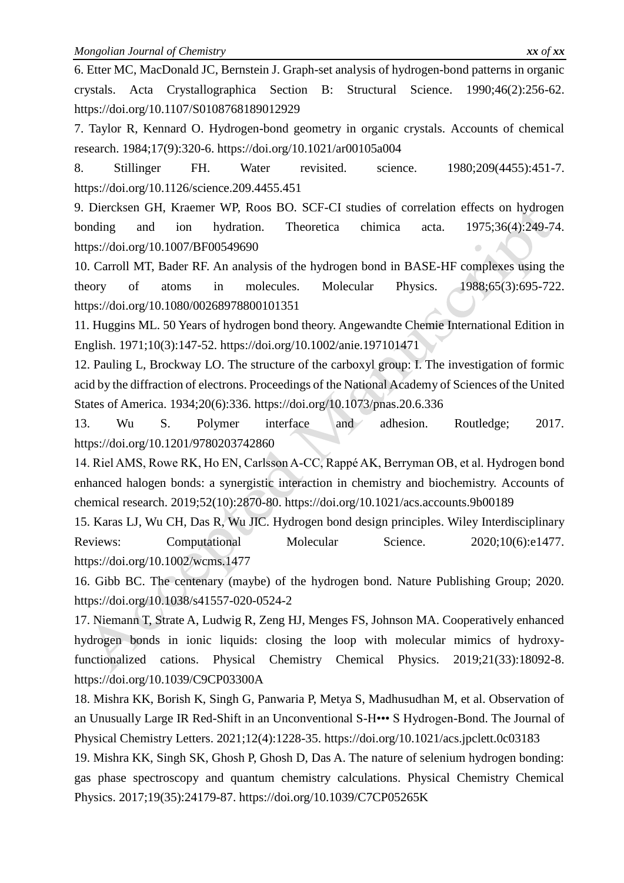6. Etter MC, MacDonald JC, Bernstein J. Graph-set analysis of hydrogen-bond patterns in organic crystals. Acta Crystallographica Section B: Structural Science. 1990;46(2):256-62. https://doi.org/10.1107/S0108768189012929

7. Taylor R, Kennard O. Hydrogen-bond geometry in organic crystals. Accounts of chemical research. 1984;17(9):320-6. https://doi.org/10.1021/ar00105a004

8. Stillinger FH. Water revisited. science. 1980;209(4455):451-7. https://doi.org/10.1126/science.209.4455.451

9. Diercksen GH, Kraemer WP, Roos BO. SCF-CI studies of correlation effects on hydrogen bonding and ion hydration. Theoretica chimica acta. 1975;36(4):249-74. https://doi.org/10.1007/BF00549690

10. Carroll MT, Bader RF. An analysis of the hydrogen bond in BASE-HF complexes using the theory of atoms in molecules. Molecular Physics. 1988;65(3):695-722. https://doi.org/10.1080/00268978800101351

11. Huggins ML. 50 Years of hydrogen bond theory. Angewandte Chemie International Edition in English. 1971;10(3):147-52. https://doi.org/10.1002/anie.197101471

12. Pauling L, Brockway LO. The structure of the carboxyl group: I. The investigation of formic acid by the diffraction of electrons. Proceedings of the National Academy of Sciences of the United States of America. 1934;20(6):336. https://doi.org/10.1073/pnas.20.6.336

13. Wu S. Polymer interface and adhesion. Routledge; 2017. https://doi.org/10.1201/9780203742860

14. Riel AMS, Rowe RK, Ho EN, Carlsson A-CC, Rappé AK, Berryman OB, et al. Hydrogen bond enhanced halogen bonds: a synergistic interaction in chemistry and biochemistry. Accounts of chemical research. 2019;52(10):2870-80. https://doi.org/10.1021/acs.accounts.9b00189

15. Karas LJ, Wu CH, Das R, Wu JIC. Hydrogen bond design principles. Wiley Interdisciplinary Reviews: Computational Molecular Science. 2020;10(6):e1477. https://doi.org/10.1002/wcms.1477

16. Gibb BC. The centenary (maybe) of the hydrogen bond. Nature Publishing Group; 2020. https://doi.org/10.1038/s41557-020-0524-2

17. Niemann T, Strate A, Ludwig R, Zeng HJ, Menges FS, Johnson MA. Cooperatively enhanced hydrogen bonds in ionic liquids: closing the loop with molecular mimics of hydroxyfunctionalized cations. Physical Chemistry Chemical Physics. 2019;21(33):18092-8. https://doi.org/10.1039/C9CP03300A

18. Mishra KK, Borish K, Singh G, Panwaria P, Metya S, Madhusudhan M, et al. Observation of an Unusually Large IR Red-Shift in an Unconventional S-H••• S Hydrogen-Bond. The Journal of Physical Chemistry Letters. 2021;12(4):1228-35. https://doi.org/10.1021/acs.jpclett.0c03183

19. Mishra KK, Singh SK, Ghosh P, Ghosh D, Das A. The nature of selenium hydrogen bonding: gas phase spectroscopy and quantum chemistry calculations. Physical Chemistry Chemical Physics. 2017;19(35):24179-87. https://doi.org/10.1039/C7CP05265K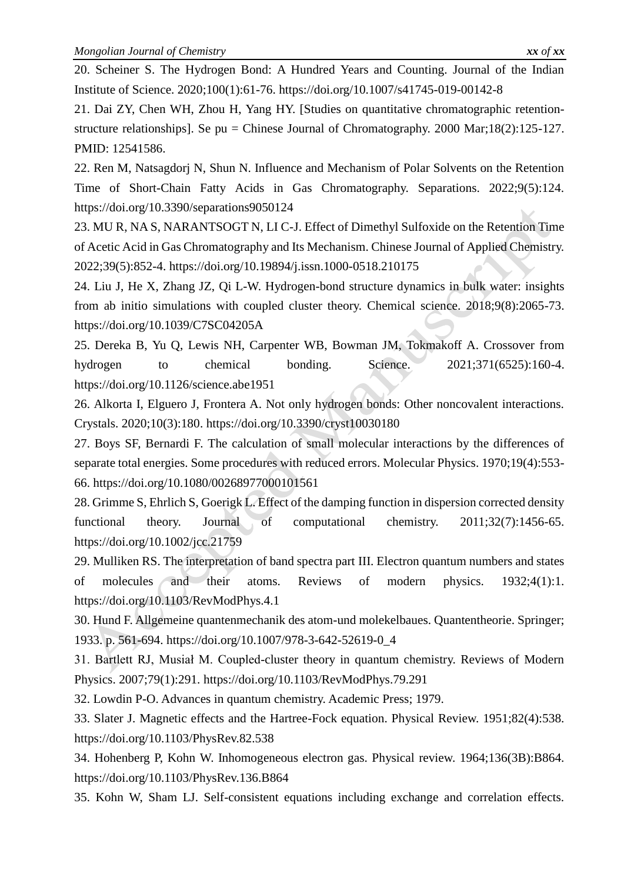20. Scheiner S. The Hydrogen Bond: A Hundred Years and Counting. Journal of the Indian Institute of Science. 2020;100(1):61-76. https://doi.org/10.1007/s41745-019-00142-8

21. Dai ZY, Chen WH, Zhou H, Yang HY. [Studies on quantitative chromatographic retentionstructure relationships]. Se pu = Chinese Journal of Chromatography. 2000 Mar;18(2):125-127. PMID: 12541586.

22. Ren M, Natsagdorj N, Shun N. Influence and Mechanism of Polar Solvents on the Retention Time of Short-Chain Fatty Acids in Gas Chromatography. Separations. 2022;9(5):124. https://doi.org/10.3390/separations9050124

23. MU R, NA S, NARANTSOGT N, LI C-J. Effect of Dimethyl Sulfoxide on the Retention Time of Acetic Acid in Gas Chromatography and Its Mechanism. Chinese Journal of Applied Chemistry. 2022;39(5):852-4. https://doi.org/10.19894/j.issn.1000-0518.210175

24. Liu J, He X, Zhang JZ, Qi L-W. Hydrogen-bond structure dynamics in bulk water: insights from ab initio simulations with coupled cluster theory. Chemical science. 2018;9(8):2065-73. https://doi.org/10.1039/C7SC04205A

25. Dereka B, Yu Q, Lewis NH, Carpenter WB, Bowman JM, Tokmakoff A. Crossover from hydrogen to chemical bonding. Science. 2021;371(6525):160-4. https://doi.org/10.1126/science.abe1951

26. Alkorta I, Elguero J, Frontera A. Not only hydrogen bonds: Other noncovalent interactions. Crystals. 2020;10(3):180. https://doi.org/10.3390/cryst10030180

27. Boys SF, Bernardi F. The calculation of small molecular interactions by the differences of separate total energies. Some procedures with reduced errors. Molecular Physics. 1970;19(4):553- 66. https://doi.org/10.1080/00268977000101561

28. Grimme S, Ehrlich S, Goerigk L. Effect of the damping function in dispersion corrected density functional theory. Journal of computational chemistry. 2011;32(7):1456-65. https://doi.org/10.1002/jcc.21759

29. Mulliken RS. The interpretation of band spectra part III. Electron quantum numbers and states of molecules and their atoms. Reviews of modern physics. 1932;4(1):1. https://doi.org/10.1103/RevModPhys.4.1

30. Hund F. Allgemeine quantenmechanik des atom-und molekelbaues. Quantentheorie. Springer; 1933. p. 561-694. https://doi.org/10.1007/978-3-642-52619-0\_4

31. Bartlett RJ, Musiał M. Coupled-cluster theory in quantum chemistry. Reviews of Modern Physics. 2007;79(1):291. https://doi.org/10.1103/RevModPhys.79.291

32. Lowdin P-O. Advances in quantum chemistry. Academic Press; 1979.

33. Slater J. Magnetic effects and the Hartree-Fock equation. Physical Review. 1951;82(4):538. https://doi.org/10.1103/PhysRev.82.538

34. Hohenberg P, Kohn W. Inhomogeneous electron gas. Physical review. 1964;136(3B):B864. https://doi.org/10.1103/PhysRev.136.B864

35. Kohn W, Sham LJ. Self-consistent equations including exchange and correlation effects.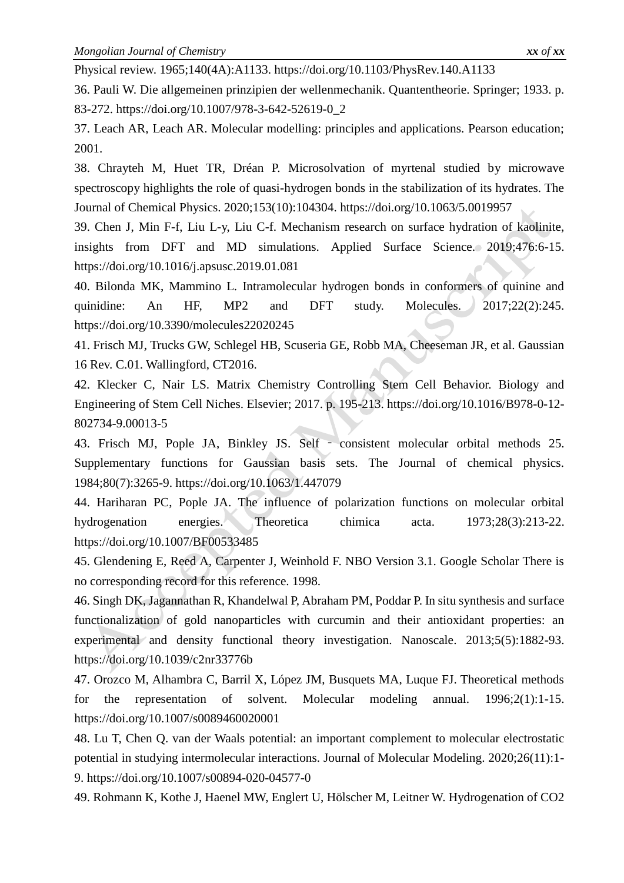Physical review. 1965;140(4A):A1133. https://doi.org/10.1103/PhysRev.140.A1133

36. Pauli W. Die allgemeinen prinzipien der wellenmechanik. Quantentheorie. Springer; 1933. p. 83-272. https://doi.org/10.1007/978-3-642-52619-0\_2

37. Leach AR, Leach AR. Molecular modelling: principles and applications. Pearson education; 2001.

38. Chrayteh M, Huet TR, Dréan P. Microsolvation of myrtenal studied by microwave spectroscopy highlights the role of quasi-hydrogen bonds in the stabilization of its hydrates. The Journal of Chemical Physics. 2020;153(10):104304. https://doi.org/10.1063/5.0019957

39. Chen J, Min F-f, Liu L-y, Liu C-f. Mechanism research on surface hydration of kaolinite, insights from DFT and MD simulations. Applied Surface Science. 2019;476:6-15. https://doi.org/10.1016/j.apsusc.2019.01.081

40. Bilonda MK, Mammino L. Intramolecular hydrogen bonds in conformers of quinine and quinidine: An HF, MP2 and DFT study. Molecules. 2017;22(2):245. https://doi.org/10.3390/molecules22020245

41. Frisch MJ, Trucks GW, Schlegel HB, Scuseria GE, Robb MA, Cheeseman JR, et al. Gaussian 16 Rev. C.01. Wallingford, CT2016.

42. Klecker C, Nair LS. Matrix Chemistry Controlling Stem Cell Behavior. Biology and Engineering of Stem Cell Niches. Elsevier; 2017. p. 195-213. https://doi.org/10.1016/B978-0-12- 802734-9.00013-5

43. Frisch MJ, Pople JA, Binkley JS. Self ‐ consistent molecular orbital methods 25. Supplementary functions for Gaussian basis sets. The Journal of chemical physics. 1984;80(7):3265-9. https://doi.org/10.1063/1.447079

44. Hariharan PC, Pople JA. The influence of polarization functions on molecular orbital hydrogenation energies. Theoretica chimica acta. 1973;28(3):213-22. https://doi.org/10.1007/BF00533485

45. Glendening E, Reed A, Carpenter J, Weinhold F. NBO Version 3.1. Google Scholar There is no corresponding record for this reference. 1998.

46. Singh DK, Jagannathan R, Khandelwal P, Abraham PM, Poddar P. In situ synthesis and surface functionalization of gold nanoparticles with curcumin and their antioxidant properties: an experimental and density functional theory investigation. Nanoscale. 2013;5(5):1882-93. https://doi.org/10.1039/c2nr33776b

47. Orozco M, Alhambra C, Barril X, López JM, Busquets MA, Luque FJ. Theoretical methods for the representation of solvent. Molecular modeling annual. 1996;2(1):1-15. https://doi.org/10.1007/s0089460020001

48. Lu T, Chen Q. van der Waals potential: an important complement to molecular electrostatic potential in studying intermolecular interactions. Journal of Molecular Modeling. 2020;26(11):1- 9. https://doi.org/10.1007/s00894-020-04577-0

49. Rohmann K, Kothe J, Haenel MW, Englert U, Hölscher M, Leitner W. Hydrogenation of CO2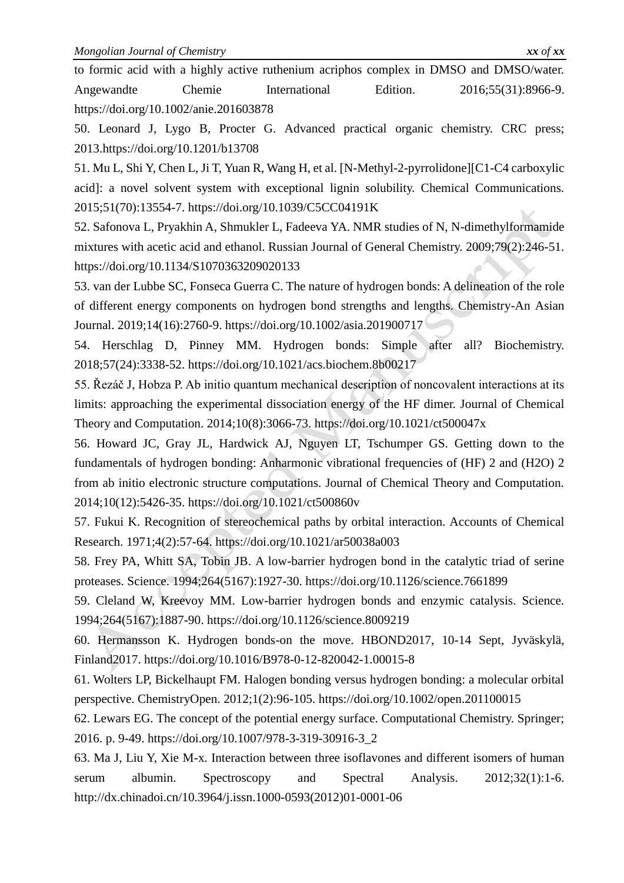to formic acid with a highly active ruthenium acriphos complex in DMSO and DMSO/water. Angewandte Chemie International Edition. 2016;55(31):8966-9. https://doi.org/10.1002/anie.201603878

50. Leonard J, Lygo B, Procter G. Advanced practical organic chemistry. CRC press; 2013.https://doi.org/10.1201/b13708

51. Mu L, Shi Y, Chen L, Ji T, Yuan R, Wang H, et al. [N-Methyl-2-pyrrolidone][C1-C4 carboxylic acid]: a novel solvent system with exceptional lignin solubility. Chemical Communications. 2015;51(70):13554-7. https://doi.org/10.1039/C5CC04191K

52. Safonova L, Pryakhin A, Shmukler L, Fadeeva YA. NMR studies of N, N-dimethylformamide mixtures with acetic acid and ethanol. Russian Journal of General Chemistry. 2009;79(2):246-51. https://doi.org/10.1134/S1070363209020133

53. van der Lubbe SC, Fonseca Guerra C. The nature of hydrogen bonds: A delineation of the role of different energy components on hydrogen bond strengths and lengths. Chemistry-An Asian Journal. 2019;14(16):2760-9. https://doi.org/10.1002/asia.201900717

54. Herschlag D, Pinney MM. Hydrogen bonds: Simple after all? Biochemistry. 2018;57(24):3338-52. https://doi.org/10.1021/acs.biochem.8b00217

55. Řezáč J, Hobza P. Ab initio quantum mechanical description of noncovalent interactions at its limits: approaching the experimental dissociation energy of the HF dimer. Journal of Chemical Theory and Computation. 2014;10(8):3066-73. https://doi.org/10.1021/ct500047x

56. Howard JC, Gray JL, Hardwick AJ, Nguyen LT, Tschumper GS. Getting down to the fundamentals of hydrogen bonding: Anharmonic vibrational frequencies of (HF) 2 and (H2O) 2 from ab initio electronic structure computations. Journal of Chemical Theory and Computation. 2014;10(12):5426-35. https://doi.org/10.1021/ct500860v

57. Fukui K. Recognition of stereochemical paths by orbital interaction. Accounts of Chemical Research. 1971;4(2):57-64. https://doi.org/10.1021/ar50038a003

58. Frey PA, Whitt SA, Tobin JB. A low-barrier hydrogen bond in the catalytic triad of serine proteases. Science. 1994;264(5167):1927-30. https://doi.org/10.1126/science.7661899

59. Cleland W, Kreevoy MM. Low-barrier hydrogen bonds and enzymic catalysis. Science. 1994;264(5167):1887-90. https://doi.org/10.1126/science.8009219

60. Hermansson K. Hydrogen bonds-on the move. HBOND2017, 10-14 Sept, Jyväskylä, Finland2017. https://doi.org/10.1016/B978-0-12-820042-1.00015-8

61. Wolters LP, Bickelhaupt FM. Halogen bonding versus hydrogen bonding: a molecular orbital perspective. ChemistryOpen. 2012;1(2):96-105. https://doi.org/10.1002/open.201100015

62. Lewars EG. The concept of the potential energy surface. Computational Chemistry. Springer; 2016. p. 9-49. https://doi.org/10.1007/978-3-319-30916-3\_2

63. Ma J, Liu Y, Xie M-x. Interaction between three isoflavones and different isomers of human serum albumin. Spectroscopy and Spectral Analysis. 2012;32(1):1-6. http://dx.chinadoi.cn/10.3964/j.issn.1000-0593(2012)01-0001-06